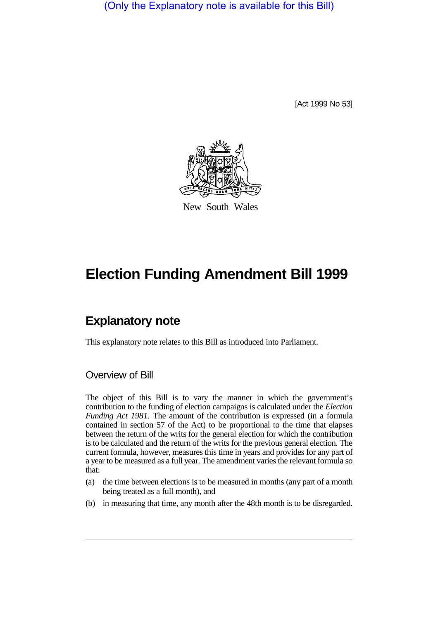(Only the Explanatory note is available for this Bill)

[Act 1999 No 53]



New South Wales

## **Election Funding Amendment Bill 1999**

## **Explanatory note**

This explanatory note relates to this Bill as introduced into Parliament.

## Overview of Bill

The object of this Bill is to vary the manner in which the government's contribution to the funding of election campaigns is calculated under the *Election Funding Act 1981*. The amount of the contribution is expressed (in a formula contained in section 57 of the Act) to be proportional to the time that elapses between the return of the writs for the general election for which the contribution is to be calculated and the return of the writs for the previous general election. The current formula, however, measures this time in years and provides for any part of a year to be measured as a full year. The amendment varies the relevant formula so that:

- (a) the time between elections is to be measured in months (any part of a month being treated as a full month), and
- (b) in measuring that time, any month after the 48th month is to be disregarded.